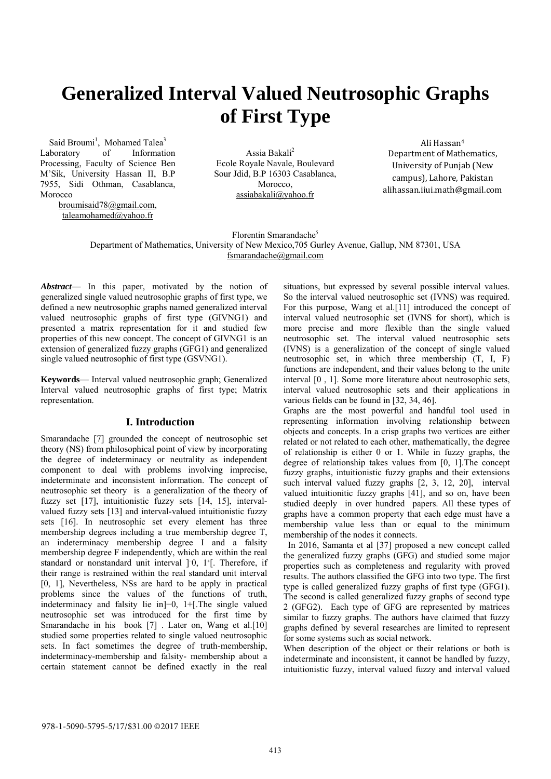# **Generalized Interval Valued Neutrosophic Graphs of First Type**

Said Broumi<sup>1</sup>, Mohamed Talea<sup>3</sup> Laboratory of Information Processing, Faculty of Science Ben M'Sik, University Hassan II, B.P 7955, Sidi Othman, Casablanca, Morocco

> broumisaid78@gmail.com, taleamohamed@yahoo.fr

Assia Bakali<sup>2</sup> Ecole Royale Navale, Boulevard Sour Jdid, B.P 16303 Casablanca, Morocco, assiabakali@yahoo.fr

Ali Hassan<sup>4</sup> Department of Mathematics, University of Punjab (New campus), Lahore, Pakistan alihassan.iiui.math@gmail.com 

Florentin Smarandache<sup>5</sup> Department of Mathematics, University of New Mexico,705 Gurley Avenue, Gallup, NM 87301, USA fsmarandache@gmail.com

*Abstract*— In this paper, motivated by the notion of generalized single valued neutrosophic graphs of first type, we defined a new neutrosophic graphs named generalized interval valued neutrosophic graphs of first type (GIVNG1) and presented a matrix representation for it and studied few properties of this new concept. The concept of GIVNG1 is an extension of generalized fuzzy graphs (GFG1) and generalized single valued neutrosophic of first type (GSVNG1).

**Keywords**— Interval valued neutrosophic graph; Generalized Interval valued neutrosophic graphs of first type; Matrix representation.

### **I. Introduction**

Smarandache [7] grounded the concept of neutrosophic set theory (NS) from philosophical point of view by incorporating the degree of indeterminacy or neutrality as independent component to deal with problems involving imprecise, indeterminate and inconsistent information. The concept of neutrosophic set theory is a generalization of the theory of fuzzy set [17], intuitionistic fuzzy sets [14, 15], intervalvalued fuzzy sets [13] and interval-valued intuitionistic fuzzy sets [16]. In neutrosophic set every element has three membership degrees including a true membership degree T, an indeterminacy membership degree I and a falsity membership degree F independently, which are within the real standard or nonstandard unit interval ]<sup>-0</sup>, 1<sup>+</sup>[. Therefore, if their range is restrained within the real standard unit interval [0, 1], Nevertheless, NSs are hard to be apply in practical problems since the values of the functions of truth, indeterminacy and falsity lie in]−0, 1+[.The single valued neutrosophic set was introduced for the first time by Smarandache in his book [7]. Later on, Wang et al.<sup>[10]</sup> studied some properties related to single valued neutrosophic sets. In fact sometimes the degree of truth-membership, indeterminacy-membership and falsity- membership about a certain statement cannot be defined exactly in the real

situations, but expressed by several possible interval values. So the interval valued neutrosophic set (IVNS) was required. For this purpose, Wang et al.[11] introduced the concept of interval valued neutrosophic set (IVNS for short), which is more precise and more flexible than the single valued neutrosophic set. The interval valued neutrosophic sets (IVNS) is a generalization of the concept of single valued neutrosophic set, in which three membership (T, I, F) functions are independent, and their values belong to the unite interval [0 , 1]. Some more literature about neutrosophic sets, interval valued neutrosophic sets and their applications in various fields can be found in [32, 34, 46].

Graphs are the most powerful and handful tool used in representing information involving relationship between objects and concepts. In a crisp graphs two vertices are either related or not related to each other, mathematically, the degree of relationship is either 0 or 1. While in fuzzy graphs, the degree of relationship takes values from [0, 1].The concept fuzzy graphs, intuitionistic fuzzy graphs and their extensions such interval valued fuzzy graphs [2, 3, 12, 20], interval valued intuitionitic fuzzy graphs [41], and so on, have been studied deeply in over hundred papers. All these types of graphs have a common property that each edge must have a membership value less than or equal to the minimum membership of the nodes it connects.

 In 2016, Samanta et al [37] proposed a new concept called the generalized fuzzy graphs (GFG) and studied some major properties such as completeness and regularity with proved results. The authors classified the GFG into two type. The first type is called generalized fuzzy graphs of first type (GFG1). The second is called generalized fuzzy graphs of second type 2 (GFG2). Each type of GFG are represented by matrices similar to fuzzy graphs. The authors have claimed that fuzzy graphs defined by several researches are limited to represent for some systems such as social network.

When description of the object or their relations or both is indeterminate and inconsistent, it cannot be handled by fuzzy, intuitionistic fuzzy, interval valued fuzzy and interval valued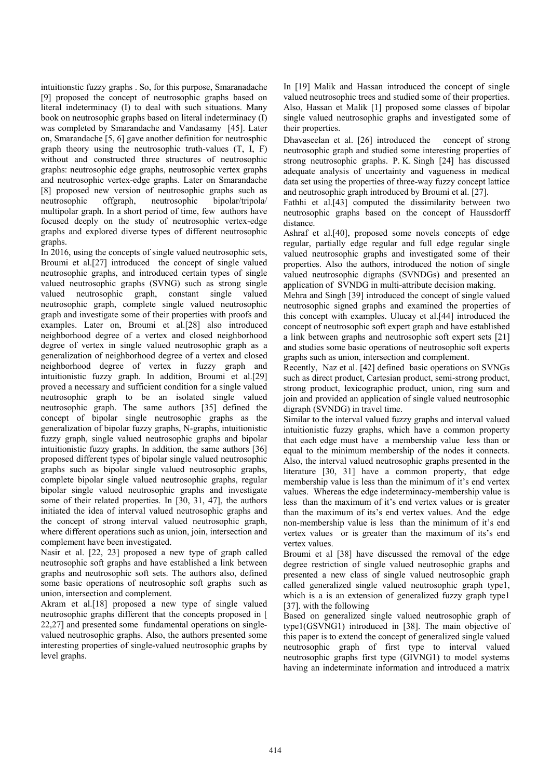intuitionstic fuzzy graphs . So, for this purpose, Smaranadache [9] proposed the concept of neutrosophic graphs based on literal indeterminacy (I) to deal with such situations. Many book on neutrosophic graphs based on literal indeterminacy (I) was completed by Smarandache and Vandasamy [45]. Later on, Smarandache [5, 6] gave another definition for neutrosphic graph theory using the neutrosophic truth-values (T, I, F) without and constructed three structures of neutrosophic graphs: neutrosophic edge graphs, neutrosophic vertex graphs and neutrosophic vertex-edge graphs. Later on Smarandache [8] proposed new version of neutrosophic graphs such as neutrosophic offgraph, neutrosophic bipolar/tripola/ multipolar graph. In a short period of time, few authors have focused deeply on the study of neutrosophic vertex-edge graphs and explored diverse types of different neutrosophic graphs.

In 2016, using the concepts of single valued neutrosophic sets, Broumi et al.[27] introduced the concept of single valued neutrosophic graphs, and introduced certain types of single valued neutrosophic graphs (SVNG) such as strong single valued neutrosophic graph, constant single valued neutrosophic graph, complete single valued neutrosophic graph and investigate some of their properties with proofs and examples. Later on, Broumi et al.[28] also introduced neighborhood degree of a vertex and closed neighborhood degree of vertex in single valued neutrosophic graph as a generalization of neighborhood degree of a vertex and closed neighborhood degree of vertex in fuzzy graph and intuitionistic fuzzy graph. In addition, Broumi et al.[29] proved a necessary and sufficient condition for a single valued neutrosophic graph to be an isolated single valued neutrosophic graph. The same authors [35] defined the concept of bipolar single neutrosophic graphs as the generalization of bipolar fuzzy graphs, N-graphs, intuitionistic fuzzy graph, single valued neutrosophic graphs and bipolar intuitionistic fuzzy graphs. In addition, the same authors [36] proposed different types of bipolar single valued neutrosophic graphs such as bipolar single valued neutrosophic graphs, complete bipolar single valued neutrosophic graphs, regular bipolar single valued neutrosophic graphs and investigate some of their related properties. In [30, 31, 47], the authors initiated the idea of interval valued neutrosophic graphs and the concept of strong interval valued neutrosophic graph, where different operations such as union, join, intersection and complement have been investigated.

Nasir et al. [22, 23] proposed a new type of graph called neutrosophic soft graphs and have established a link between graphs and neutrosophic soft sets. The authors also, defined some basic operations of neutrosophic soft graphs such as union, intersection and complement.

Akram et al.[18] proposed a new type of single valued neutrosophic graphs different that the concepts proposed in [ 22,27] and presented some fundamental operations on singlevalued neutrosophic graphs. Also, the authors presented some interesting properties of single-valued neutrosophic graphs by level graphs.

In [19] Malik and Hassan introduced the concept of single valued neutrosophic trees and studied some of their properties. Also, Hassan et Malik [1] proposed some classes of bipolar single valued neutrosophic graphs and investigated some of their properties.

Dhavaseelan et al. [26] introduced the concept of strong neutrosophic graph and studied some interesting properties of strong neutrosophic graphs. P. K. Singh [24] has discussed adequate analysis of uncertainty and vagueness in medical data set using the properties of three-way fuzzy concept lattice and neutrosophic graph introduced by Broumi et al. [27].

Fathhi et al.[43] computed the dissimilarity between two neutrosophic graphs based on the concept of Haussdorff distance.

Ashraf et al.[40], proposed some novels concepts of edge regular, partially edge regular and full edge regular single valued neutrosophic graphs and investigated some of their properties. Also the authors, introduced the notion of single valued neutrosophic digraphs (SVNDGs) and presented an application of SVNDG in multi-attribute decision making.

Mehra and Singh [39] introduced the concept of single valued neutrosophic signed graphs and examined the properties of this concept with examples. Ulucay et al.[44] introduced the concept of neutrosophic soft expert graph and have established a link between graphs and neutrosophic soft expert sets [21] and studies some basic operations of neutrosophic soft experts graphs such as union, intersection and complement.

Recently, Naz et al. [42] defined basic operations on SVNGs such as direct product, Cartesian product, semi-strong product, strong product, lexicographic product, union, ring sum and join and provided an application of single valued neutrosophic digraph (SVNDG) in travel time.

Similar to the interval valued fuzzy graphs and interval valued intuitionistic fuzzy graphs, which have a common property that each edge must have a membership value less than or equal to the minimum membership of the nodes it connects. Also, the interval valued neutrosophic graphs presented in the literature [30, 31] have a common property, that edge membership value is less than the minimum of it's end vertex values. Whereas the edge indeterminacy-membership value is less than the maximum of it's end vertex values or is greater than the maximum of its's end vertex values. And the edge non-membership value is less than the minimum of it's end vertex values or is greater than the maximum of its's end vertex values.

Broumi et al [38] have discussed the removal of the edge degree restriction of single valued neutrosophic graphs and presented a new class of single valued neutrosophic graph called generalized single valued neutrosophic graph type1, which is a is an extension of generalized fuzzy graph type1 [37]. with the following

Based on generalized single valued neutrosophic graph of type1(GSVNG1) introduced in [38]. The main objective of this paper is to extend the concept of generalized single valued neutrosophic graph of first type to interval valued neutrosophic graphs first type (GIVNG1) to model systems having an indeterminate information and introduced a matrix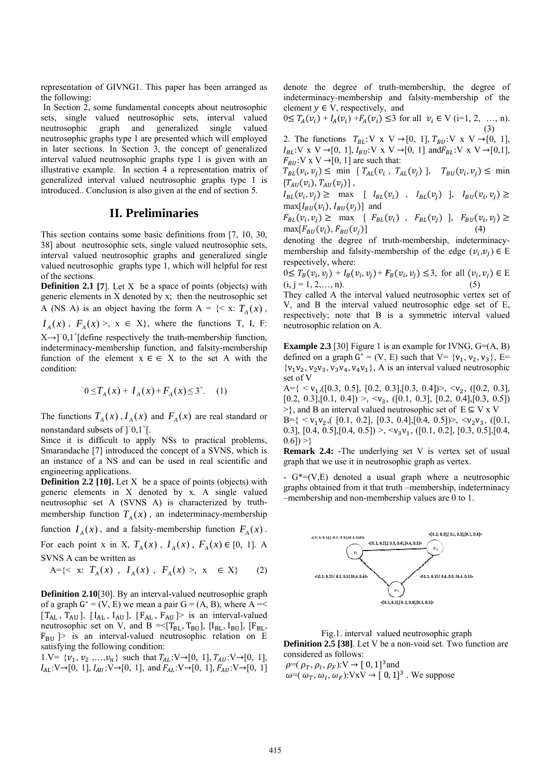representation of GIVNG1. This paper has been arran the following:

In Section 2, some fundamental concepts about neutrosophic sets, single valued neutrosophic sets, interval valued neutrosophic neutrosophic graphs type 1 are presented which will employed in later sections. In Section 3, the concept of generalized interval valued neutrosophic graphs type 1 is given with an illustrative example. In section 4 a representation matrix of generalized interval valued neutrosophic graphs type 1 is introduced.. Conclusion is also given at the end of section 5. graph and generalize single as been arranged as<br>s about neutrosophic<br>ds, interval valued<br>d single valued<br>which will employed<br>neept of generalized<br>2 1 is given with an<br>resentation matrix of<br>c graphs type 1 is<br>e end of section 5.<br>**SS**<br>ons from [7, 10, valued

## II. Preliminaries

This section contains some basic definitions from [7, 10, 30, 38] about neutrosophic sets, single valued neutrosophic sets, interval valued neutrosophic graphs and generalized single valued neutrosophic graphs type 1, which will helpful for rest of f the sections.

**Definition 2.1 [7].** Let  $X$  be a space of points (objects) with generic elements in X denoted by x; then the neutrosophic set A (NS A) is an object having the form  $A = \{ \leq x : T_A(x)$ ,  $I_A(x)$ ,  $F_A(x)$ ,  $x \in X$ , where the functions T, I, F:

 $X \rightarrow ]0,1^+$ [define respectively the truth-membership function, indeterminacy-membership function, and falsity-membership function of the element  $x \in \in X$  to the set A with the condition:

$$
U = T_A(x) + I_A(x) + F_A(x) \le 3^+.
$$
 (1)

The functions  $T_A(x)$ ,  $I_A(x)$  and  $F_A(x)$  are real standard or nonstandard subsets of  $]$ <sup>-</sup>0,1<sup>+</sup>[.

Since it is difficult to apply NSs to practical problems, Smarandache [7] introduced the concept of a SVNS, which is an instance of a NS and can be used in real scientific and engineering applications.

**Definition 2.2 [10].** Let  $X$  be a space of points (objects) with generic elements in X denoted by x. A single valued neutrosophic set A (SVNS A) is characterized by truthmembership function  $T_A(x)$ , an indeterminacy-membership

function  $I_A(x)$ , and a falsity-membership function  $F_A(x)$ .

For each point x in X,  $T_A(x)$ ,  $I_A(x)$ ,  $F_A(x) \in [0, 1]$ . A SVNS A can be written as

$$
A = \{ < x: T_A(x), I_A(x), F_A(x) > x \in X \} \tag{2}
$$

**Definition 2.10<sup>[30]</sup>.** By an interval-valued neutrosophic graph of a graph  $G^* = (V, E)$  we mean a pair  $G = (A, B)$ , where A =<  $[T]$ ne  $F_{BU}$   $\geq$  is an interval-valued neutrosophic relation on E satisfying the following condition:  $T_{AL}$ ,  $T_{AU}$ ], [I eutrosophic se  $_{\rm AL}$ ,  $\rm I_{\rm AU}$  ], [F<sub>A</sub> et on V, and  $_{\rm AL}$ ,  $F_{\rm AU}$  ]> is  $B = \leq [T_{BL}, T_B$ s an interval-  $\mathrm{[I_{BL}, I_{BU}]}$ -valued ],  $[F_{BL},$ 

 $1.V = \{v_1, v_2, ..., v_n\}$  such that  $T_{AL}: V \rightarrow [0, 1], T_{AU}: V \rightarrow [0, 1],$  $I_{AL}: V \rightarrow [0, 1], I_{AU}: V \rightarrow [0, 1], \text{ and } F_{AL}: V \rightarrow [0, 1], F_{AU}: V \rightarrow [0, 1]$  denote the degree of truth-membership, the degree of indeterminacy-membership and falsity-membership of the element  $y \in V$ , respectively, and

$$
0 \le T_A(v_i) + I_A(v_i) + F_A(v_i) \le 3 \text{ for all } v_i \in V \text{ (i=1, 2, ..., n).}
$$
\n(3)

2.  $I_B$  $F_{BU}$ :V x V  $\rightarrow$  [0, 1] are such that: The function  $_{L}:V \times V \rightarrow [0,1]$ ns  $T_{BL}$ :V x , 1],  $I_{BU}$ :V x  $V \rightarrow [0, 1], T$  $V \rightarrow [0, 1]$  and  $T_{BU}: V \times V \rightarrow$  $\text{ind}F_{BL}:V \times V \rightarrow$ [0, 1], [0,1],

 $T_{BL}(v_i, v_j) \leq \min \left[ T_{AL}(v_i, T_{AL}(v_j)) \right], \quad T_{BU}(v_i, v_j) \leq \min$  $[T_{AU}(v_i), T_{AU}(v_j)]$ ,

 $I_{BL}(v_i, v_j) \geq \max \left[ I_{BL}(v_i) \right], I_{BL}(v_j) \left[ I_{BL}(v_i, v_j) \right]$  $max[I_{BU}(v_i), I_{BU}(v_j)]$  and  $I_{BL}(v_i, v_j) \ge \max \left[ I_{BL}(v_i) , I_{BL}(v_j) \right]$  and<br>  $F_{BL}(v_i, v_j) \ge \max \left[ F_{BL}(v_i) , F_{BL}(v_j) \right]$ ,  $F_{BU}(v_i, v_j) \ge$ <br>  $F_{BL}(v_i, v_j) \ge \max \left[ F_{BL}(v_i) , F_{BL}(v_j) \right]$ ,  $F_{BU}(v_i, v_j) \ge$ 

 $max[F_{BU}(v_i), F_{BU}(v_j)]$ (4)

 $\max[F_{BU}(v_i), F_{BU}(v_j)]$  (4)<br>denoting the degree of truth-membership, indeterminacymembership and falsity-membership of the edge  $(v_i, v_j) \in E$ re spectively, wh here:

 $0 \leq T_B(v_i, v_j) + I_B(v_i, v_j) + F_B(v_i, v_j) \leq 3$ , for all  $(v_i, v_j) \in E$  $(i, j = 1, 2, \ldots, n).$ (5)

They called A the interval valued neutrosophic vertex set of V, and B the interval valued neutrosophic edge set of E, respectively; note that B is a symmetric interval valued neutrosophic relation on A.

**Example 2.3** [30] Figure 1 is an example for IVNG,  $G=(A, B)$ defined on a graph  $G^* = (V, E)$  such that  $V = \{v_1, v_2, v_3\}$ , E=  $\{v_1v_2, v_2v_3, v_3v_4, v_4v_1\}$ , A is an interval valued neutrosophic set of V

 $A = \{ \langle v_1, ([0.3, 0.5], [0.2, 0.3], [0.3, 0.4]) \rangle, \langle v_2, ([0.2, 0.3],$  $[0.2, 0.3], [0.1, 0.4]) > \langle v_3, ([0.1, 0.3], [0.2, 0.4], [0.3, 0.5])$  $\geq$ }, and B an interval valued neutrosophic set of  $E \subseteq V \times V$  $B = \{ \langle v_1 v_2, (0.1, 0.2], [0.3, 0.4], [0.4, 0.5] \rangle, \langle v_2 v_3, (0.1, 0.5], \rangle \}$ 0.3], [0.4, 0.5], [0.4, 0.5]) >,  $\langle v_3 v_1, ([0.1, 0.2], [0.3, 0.5], [0.4,$  $0.6$ ]) >}

**Remark 2.4:** - The underlying set V is vertex set of usual graph that we use it in neutrosophic graph as vertex.

-  $G^*=(V,E)$  denoted a usual graph where a neutrosophic graphs obtained from it that truth -membership, indeterminacy –m membership a nd non-memb bership values s are 0 to 1.



**Definition 2.5 [38].** Let V be a non-void set. Two function are considered as follows: Fig.1. interval valued neutrosophic graph

 $\rho = (\rho_T, \rho_I, \rho_F): V \to [0, 1]^3$  and  $\rho = (\rho_T, \rho_I, \rho_F): V \to [0, 1]^3$  and<br>  $\omega = (\omega_T, \omega_I, \omega_F): V \times V \to [0, 1]^3$ . We suppose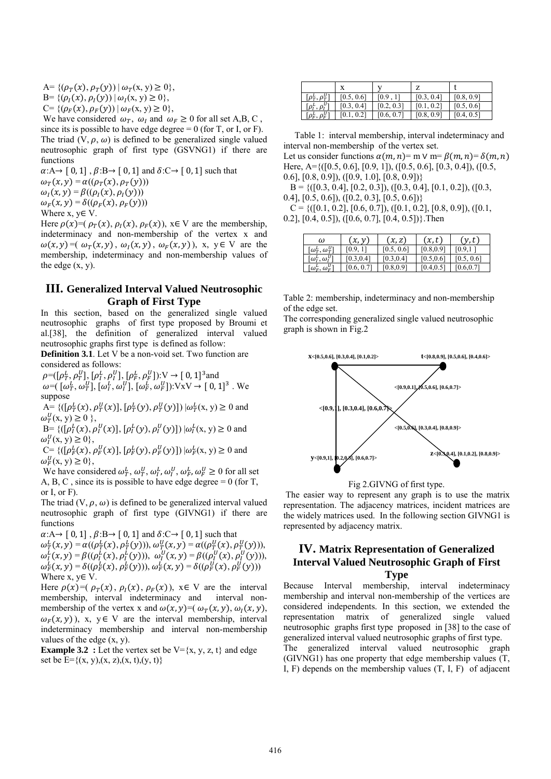A= { $(\rho_T(x), \rho_T(y)) | \omega_T(x, y) \ge 0$ },

 $B = \{(\rho_I(x), \rho_I(y)) | \omega_I(x, y) \geq 0\},\$ 

 $C = \{(\rho_F(\chi), \rho_F(\gamma)) | \omega_F(\chi, \gamma) \geq 0\},\$ 

We have considered  $\omega_T$ ,  $\omega_I$  and  $\omega_F \ge 0$  for all set A,B, C,

since its is possible to have edge degree  $= 0$  (for T, or I, or F). The triad  $(V, \rho, \omega)$  is defined to be generalized single valued neutrosophic graph of first type (GSVNG1) if there are functions

 $\alpha: A \rightarrow [0, 1], \beta: B \rightarrow [0, 1]$  and  $\delta: C \rightarrow [0, 1]$  such that  $\omega_T(x, y) = \alpha((\rho_T(x), \rho_T(y)))$ 

 $\omega_I(x, y) = \beta((\rho_I(x), \rho_I(y)))$ 

$$
\omega_F(x, y) = \delta((\rho_F(x), \rho_F(y)))
$$

Where x, y∈ V.

Here  $\rho(x)=(\rho_T(x), \rho_I(x), \rho_F(x))$ , x∈ V are the membership, indeterminacy and non-membership of the vertex x and  $\omega(x, y) = (\omega_T(x, y), \omega_I(x, y), \omega_F(x, y))$ , x, y E V are the membership, indeterminacy and non-membership values of the edge  $(x, y)$ .

## **III. Generalized Interval Valued Neutrosophic Graph of First Type**

In this section, based on the generalized single valued neutrosophic graphs of first type proposed by Broumi et al.[38], the definition of generalized interval valued neutrosophic graphs first type is defined as follow:

**Definition 3.1**. Let V be a non-void set. Two function are considered as follows:

 $\rho = ([\rho_T^L, \rho_T^U], [\rho_T^L, \rho_T^U], [\rho_F^L, \rho_F^U]) : V \to [0, 1]^3$  and

 $\omega = (\[\omega_T^L, \omega_T^U], [\omega_I^L, \omega_I^U], [\omega_F^L, \omega_F^U]\)$ :VxV  $\rightarrow$  [0,1]<sup>3</sup>. We suppose

A= { $([\rho_T^L(x), \rho_T^U(x)], [\rho_T^L(y), \rho_T^U(y)]$ }  $|\omega_T^L(x, y) \ge 0$  and  $\omega_T^U(x, y) \geq 0$ ,

B= { $([ \rho_I^L(x), \rho_I^U(x) ], [ \rho_I^L(y), \rho_I^U(y) ] ) | \omega_I^L(x, y) \ge 0$  and  $\omega_I^U(x, y) \geq 0$ ,

C= { $([ \rho_F^L(x), \rho_F^U(x) ], [ \rho_F^L(y), \rho_F^U(y) ]$ }  $| \omega_F^L(x, y) \ge 0$  and  $\omega_F^U(x, y) \geq 0$ ,

We have considered  $\omega_T^L$ ,  $\omega_T^U$ ,  $\omega_I^L$ ,  $\omega_F^U$ ,  $\omega_F^L \ge 0$  for all set A, B, C, since its is possible to have edge degree  $= 0$  (for T, or I, or  $F$ ).

The triad  $(V, \rho, \omega)$  is defined to be generalized interval valued neutrosophic graph of first type (GIVNG1) if there are functions

 $\alpha: A \rightarrow [0, 1], \beta: B \rightarrow [0, 1]$  and  $\delta: C \rightarrow [0, 1]$  such that

 $\omega_T^L(x, y) = \alpha((\rho_T^L(x), \rho_T^L(y))), \omega_T^U(x, y) = \alpha((\rho_T^U(x), \rho_T^U(y))),$  $\omega_{I}^{L}(x, y) = \beta((\rho_{I}^{L}(x), \rho_{I}^{L}(y))), \omega_{I}^{U}(x, y) = \beta((\rho_{I}^{U}(x), \rho_{I}^{U}(y))),$  $\omega_F^L(x, y) = \delta((\rho_F^L(x), \rho_F^L(y))), \omega_F^L(x, y) = \delta((\rho_F^U(x), \rho_F^U(y)))$ Where  $x, y \in V$ .

Here  $\rho(x)=(\rho_T(x), \rho_I(x), \rho_F(x))$ ,  $x \in V$  are the interval membership, interval indeterminacy and interval nonmembership, interval indeterminacy and membership of the vertex x and  $\omega(x, y) = (\omega_T(x, y), \omega_I(x, y),$  $\omega_F(x, y)$ , x, y  $\in$  V are the interval membership, interval indeterminacy membership and interval non-membership values of the edge (x, y).

**Example 3.2** : Let the vertex set be  $V = \{x, y, z, t\}$  and edge set be  $E = \{(x, y), (x, z), (x, t), (y, t)\}$ 

|                                                                              |            |            | 7             |            |
|------------------------------------------------------------------------------|------------|------------|---------------|------------|
| $\lceil \rho_{\scriptscriptstyle T}^L, \rho_{\scriptscriptstyle T}^U \rceil$ | [0.5, 0.6] | [0.9]      | [0.3, 0.4]    | [0.8, 0.9] |
| $[\rho_l^L, \rho_l^U]$                                                       | [0.3, 0.4] | [0.2, 0.3] | 0.21<br>[0.1] | [0.5, 0.6] |
| $[\rho_F^L, \rho_F^U]$                                                       | $0.1$ ,    | [0.6, 0.7] | [0.8, 0.9]    | [0.4, 0.5] |

 Table 1: interval membership, interval indeterminacy and interval non-membership of the vertex set.

Let us consider functions  $\alpha(m, n) = m \vee m = \beta(m, n) = \delta(m, n)$ Here, A={([0.5, 0.6], [0.9, 1]), ([0.5, 0.6], [0.3, 0.4]), ([0.5, 0.6], [0.8, 0.9]), ([0.9, 1.0], [0.8, 0.9])}

 $B = \{([0.3, 0.4], [0.2, 0.3]), ([0.3, 0.4], [0.1, 0.2]), ([0.3,$ 0.4],  $[0.5, 0.6]$ ,  $([0.2, 0.3]$ ,  $[0.5, 0.6])$ 

 $C = \{([0.1, 0.2], [0.6, 0.7]), ([0.1, 0.2], [0.8, 0.9]), ([0.1,$ 0.2],  $[0.4, 0.5]$ ,  $([0.6, 0.7]$ ,  $[0.4, 0.5])$ . Then

| ω                                                | x, y          | (x, z)     | (x,t)      | $\left(y,t\right)$ |
|--------------------------------------------------|---------------|------------|------------|--------------------|
| $\lceil \omega_{\tau}^L, \omega_{\tau}^U \rceil$ | [0.9]         | [0.5, 0.6] | [0.8, 0.9] | 10.9               |
| $\lbrack \omega_I^L, \omega_I^U \rbrack$         | [0.3,0.4]     | [0.3, 0.4] | [0.5, 0.6] | [0.5, 0.6]         |
| $\lceil \omega_F^L, \omega_F^U \rceil$           | 10.6,<br>V. 1 | [0.8, 0.9] | 10.4, 0.5  | [0.6, 0.7]         |

Table 2: membership, indeterminacy and non-membership of the edge set.

The corresponding generalized single valued neutrosophic graph is shown in Fig.2



Fig 2.GIVNG of first type.

 The easier way to represent any graph is to use the matrix representation. The adjacency matrices, incident matrices are the widely matrices used. In the following section GIVNG1 is represented by adjacency matrix.

## **IV. Matrix Representation of Generalized Interval Valued Neutrosophic Graph of First Type**

Because Interval membership, interval indeterminacy membership and interval non-membership of the vertices are considered independents. In this section, we extended the representation matrix of generalized single valued neutrosophic graphs first type proposed in [38] to the case of generalized interval valued neutrosophic graphs of first type.

The generalized interval valued neutrosophic graph (GIVNG1) has one property that edge membership values (T, I, F) depends on the membership values (T, I, F) of adjacent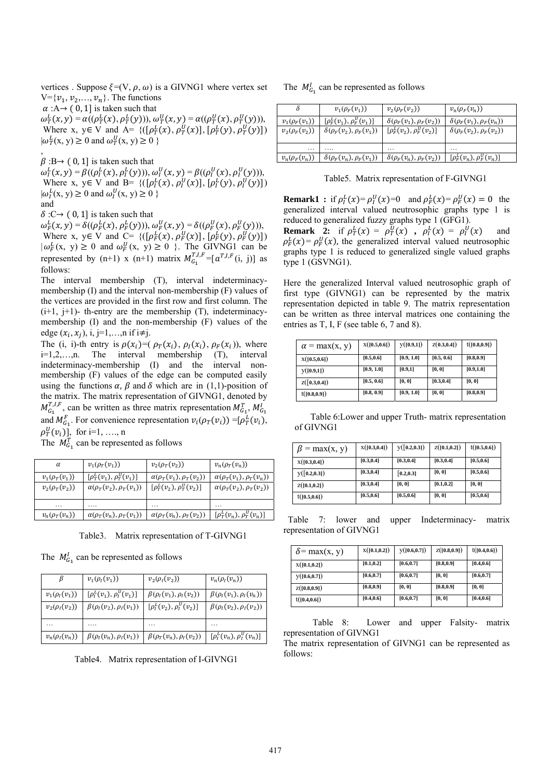vertices . Suppose  $\xi=(V, \rho, \omega)$  is a GIVNG1 where vertex set  $V = \{v_1, v_2, \ldots, v_n\}$ . The functions

 $\alpha : A \rightarrow (0, 1]$  is taken such that

 $\omega_T^L(x, y) = \alpha((\rho_T^L(x), \rho_T^L(y))), \omega_T^U(x, y) = \alpha((\rho_T^U(x), \rho_T^U(y))),$ Where x,  $y \in V$  and  $A = \{([\rho_T^L(x), \rho_T^U(x)], [\rho_T^L(y), \rho_T^U(y)]\}$  $|\omega_T^L(x, y) \ge 0$  and  $\omega_T^U(x, y) \ge 0$  } ,

 $\beta$ :B→ (0, 1] is taken such that  $\omega_{I}^{L}(x, y) = \beta((\rho_{I}^{L}(x), \rho_{I}^{L}(y))), \omega_{I}^{U}(x, y) = \beta((\rho_{I}^{U}(x), \rho_{I}^{U}(y))),$ Where x,  $y \in V$  and B= { $([\rho_I^L(x), \rho_I^U(x)], [\rho_I^L(y), \rho_I^U(y)])$  $|\omega_I^L(x, y) \ge 0$  and  $\omega_I^U(x, y) \ge 0$  } and

 $\delta$ :C $\rightarrow$  (0, 1] is taken such that

 $\omega_F^L(x, y) = \delta((\rho_F^L(x), \rho_F^L(y))), \omega_F^U(x, y) = \delta((\rho_F^U(x), \rho_F^U(y))),$ Where x,  $y \in V$  and  $C = \{([p_F^L(x), p_F^U(x)], [p_F^L(y), p_F^U(y)]\}$  $|\omega_F^L(x, y)| \ge 0$  and  $\omega_F^U(x, y) \ge 0$  }. The GIVNG1 can be represented by  $(n+1)$  x  $(n+1)$  matrix  $M_{G_1}^{T,I,F} = [a^{T,I,F}(i, j)]$  as follows:

The interval membership (T), interval indeterminacymembership (I) and the interval non-membership (F) values of the vertices are provided in the first row and first column. The  $(i+1, i+1)$ - th-entry are the membership  $(T)$ , indeterminacymembership (I) and the non-membership (F) values of the edge  $(x_i, x_j)$ , i, j=1,...,n if i≠j.

The (i, i)-th entry is  $\rho(x_i) = (\rho_T(x_i), \rho_I(x_i), \rho_F(x_i))$ , where i=1,2,…,n. The interval membership (T), interval indeterminacy-membership (I) and the interval nonmembership (F) values of the edge can be computed easily using the functions  $\alpha$ ,  $\beta$  and  $\delta$  which are in (1,1)-position of the matrix. The matrix representation of GIVNG1, denoted by  $M_{G_1}^{T,I,F}$ , can be written as three matrix representation  $M_{G_1}^T, M_{G_1}^I$ and  $M_{G_1}^F$ . For convenience representation  $v_i(\rho_T(v_i)) = [\rho_T^L(v_i)]$ ,  $\rho_T^U(v_i)$ ], for i=1, ..., n

The  $M_{G_1}^T$  can be represented as follows

| $\alpha$              | $v_1(\rho_T(v_1))$                 | $v_2(\rho_T(v_2))$                           | $v_n(\rho_T(v_n))$                                    |
|-----------------------|------------------------------------|----------------------------------------------|-------------------------------------------------------|
| $v_1(\rho_\tau(v_1))$ | $[\rho_T^L(v_1), \rho_T^U(v_1)]$   | $\alpha(\rho_{\tau}(v_1), \rho_{\tau}(v_2))$ | $\alpha(\rho_T(v_1), \rho_T(v_n))$                    |
| $v_2(\rho_T(v_2))$    | $\alpha(\rho_T(v_2), \rho_T(v_1))$ | $[\rho_T^L(v_2), \rho_T^U(v_2)]$             | $\alpha(\rho_T(v_2), \rho_T(v_2))$                    |
|                       |                                    |                                              |                                                       |
| $v_n(\rho_T(v_n))$    | $\alpha(\rho_T(v_n), \rho_T(v_1))$ | $\alpha(\rho_T(v_n), \rho_T(v_2))$           | $\left[\rho_{\tau}^L(v_n), \rho_{\tau}^U(v_n)\right]$ |

Table3. Matrix representation of T-GIVNG1

The  $M_{G_1}^l$  can be represented as follows

|                    | $v_1(\rho_I(v_1))$                | $v_2(\rho_I(v_2))$                | $v_n(\rho_l(v_n))$                |
|--------------------|-----------------------------------|-----------------------------------|-----------------------------------|
| $v_1(\rho_I(v_1))$ | $[\rho_I^L(v_1), \rho_I^U(v_1)]$  | $\beta(\rho_I(v_1), \rho_I(v_2))$ | $\beta(\rho_I(v_1), \rho_I(v_n))$ |
| $v_2(\rho_I(v_2))$ | $\beta(\rho_l(v_2), \rho_l(v_1))$ | $[\rho_l^L(v_2), \rho_l^U(v_2)]$  | $\beta(\rho_I(v_2), \rho_I(v_2))$ |
|                    |                                   |                                   |                                   |
| $v_n(\rho_l(v_n))$ | $\beta(\rho_I(v_n), \rho_I(v_1))$ | $\beta(\rho_T(v_n),\rho_I(v_2))$  | $[\rho_l^L(v_n), \rho_l^U(v_n)]$  |

Table4. Matrix representation of I-GIVNG1

# The  $M_{G_1}^l$  can be represented as follows

| δ                  | $v_1(\rho_F(v_1))$                 | $v_2(\rho_F(v_2))$                 | $v_n(\rho_F(v_n))$                                                         |
|--------------------|------------------------------------|------------------------------------|----------------------------------------------------------------------------|
| $v_1(\rho_F(v_1))$ | $[\rho_F^L(v_1), \rho_F^U(v_1)]$   | $\delta(\rho_F(v_1), \rho_F(v_2))$ | $\delta(\rho_F(v_1), \rho_F(v_n))$                                         |
| $v_2(\rho_F(v_2))$ | $\delta(\rho_F(v_2), \rho_F(v_1))$ | $[\rho_F^L(v_2), \rho_F^U(v_2)]$   | $\delta(\rho_F(v_2), \rho_F(v_2))$                                         |
| .                  | .                                  | .                                  | .                                                                          |
| $v_n(\rho_F(v_n))$ | $\delta(\rho_F(v_n), \rho_F(v_1))$ | $\delta(\rho_F(v_n), \rho_F(v_2))$ | $[\rho_{\scriptscriptstyle E}^L(v_n), \rho_{\scriptscriptstyle E}^U(v_n)]$ |

Table5. Matrix representation of F-GIVNG1

**Remark1**: if  $\rho_I^L(x) = \rho_I^U(x) = 0$  and  $\rho_F^L(x) = \rho_F^U(x) = 0$  the generalized interval valued neutrosophic graphs type 1 is reduced to generalized fuzzy graphs type 1 (GFG1).

**Remark** 2: if  $\rho_T^L(x) = \rho_T^U(x)$ ,  $\rho_I^L(x) = \rho_I^U(x)$  and  $\rho_F^L(x) = \rho_F^U(x)$ , the generalized interval valued neutrosophic graphs type 1 is reduced to generalized single valued graphs type 1 (GSVNG1).

Here the generalized Interval valued neutrosophic graph of first type (GIVNG1) can be represented by the matrix representation depicted in table 9. The matrix representation can be written as three interval matrices one containing the entries as T, I, F (see table 6, 7 and 8).

| $\alpha$ = max(x, y) | X([0.5, 0.6]) | y([0.9,1]) | Z(0.3, 0.4] | t([0.8, 0.9]) |
|----------------------|---------------|------------|-------------|---------------|
| X([0.5, 0.6])        | [0.5, 0.6]    | [0.9, 1.0] | [0.5, 0.6]  | [0.8, 0.9]    |
| y([0.9,1])           | [0.9, 1.0]    | [0.9,1]    | [0, 0]      | [0.9, 1.0]    |
| Z([0.3, 0.4])        | [0.5, 0.6]    | [0, 0]     | [0.3, 0.4]  | [0, 0]        |
| t([0.8, 0.9])        | [0.8, 0.9]    | [0.9, 1.0] | [0, 0]      | [0.8, 0.9]    |

 Table 6:Lower and upper Truth- matrix representation of GIVNG1

| $\beta$ = max(x, y) | X([0.3, 0.4]) | y([0.2, 0.3]) | Z([0.1, 0.2]) | t([0.5, 0.6]) |
|---------------------|---------------|---------------|---------------|---------------|
| X([0.3, 0.4])       | [0.3, 0.4]    | [0.3, 0.4]    | [0.3, 0.4]    | [0.5, 0.6]    |
| y([0.2, 0.3])       | [0.3, 0.4]    | [0.2, 0.3]    | [0, 0]        | [0.5, 0.6]    |
| Z([0.1, 0.2])       | [0.3, 0.4]    | [0, 0]        | [0.1, 0.2]    | [0, 0]        |
| t([0.5, 0.6])       | [0.5, 0.6]    | [0.5, 0.6]    | [0, 0]        | [0.5, 0.6]    |

 Table 7: lower and upper Indeterminacy- matrix representation of GIVNG1

| $\delta$ = max(x, y) | X([0.1, 0.2]) | y([0.6, 0.7]) | Z([0.8, 0.9]) | t([0.4, 0.6]) |
|----------------------|---------------|---------------|---------------|---------------|
| X([0.1, 0.2])        | [0.1, 0.2]    | [0.6, 0.7]    | [0.8, 0.9]    | [0.4, 0.6]    |
| y([0.6, 0.7])        | [0.6, 0.7]    | [0.6, 0.7]    | [0, 0]        | [0.6, 0.7]    |
| Z([0.8, 0.9])        | [0.8, 0.9]    | [0, 0]        | [0.8, 0.9]    | [0, 0]        |
| t([0.4, 0.6])        | [0.4, 0.6]    | [0.6, 0.7]    | [0, 0]        | [0.4, 0.6]    |

 Table 8: Lower and upper Falsity- matrix representation of GIVNG1

The matrix representation of GIVNG1 can be represented as follows: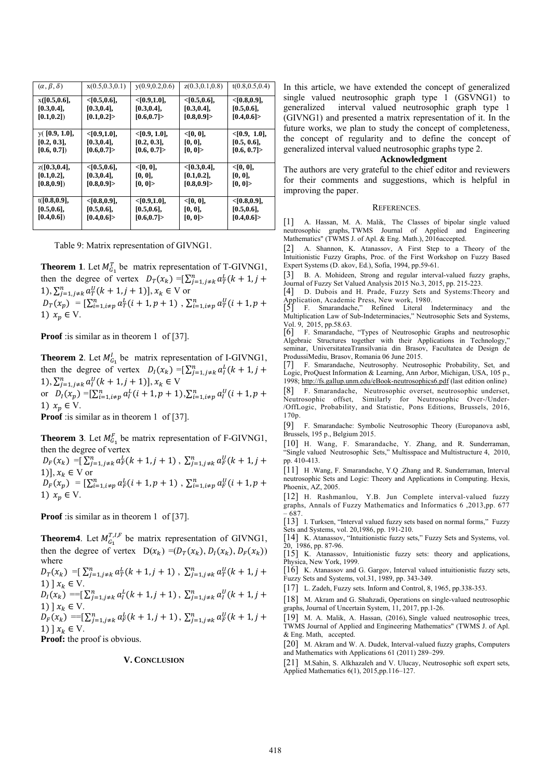| $(\alpha, \beta, \delta)$ | x(0.5, 0.3, 0.1) | y(0.9, 0.2, 0.6) | z(0.3, 0.1, 0.8) | t(0.8, 0.5, 0.4) |
|---------------------------|------------------|------------------|------------------|------------------|
| x([0.5, 0.6],             | $<$ [0.5,0.6],   | $<$ [0.9,1.0],   | $<$ [0.5,0.6],   | $<$ [0.8,0.9],   |
| $[0.3, 0.4]$ ,            | $[0.3, 0.4]$ ,   | [0.3, 0.4],      | [0.3, 0.4],      | [0.5, 0.6],      |
| [0.1, 0.2]                | [0.1, 0.2]       | [0.6, 0.7]       | [0.8, 0.9]       | [0.4, 0.6]       |
| $y($ [0.9, 1.0],          | < [0.9, 1.0],    | $<$ [0.9, 1.0],  | < [0, 0],        | $<$ [0.9, 1.0],  |
| [0.2, 0.3],               | $[0.3, 0.4]$ ,   | [0.2, 0.3],      | [0, 0],          | [0.5, 0.6],      |
| [0.6, 0.7]                | [0.6, 0.7]       | [0.6, 0.7]       | [0, 0]           | [0.6, 0.7]       |
| z([0.3, 0.4],             | $<$ [0.5,0.6],   | < [0, 0],        | $<$ [0.3,0.4],   | < [0, 0],        |
| $[0.1, 0.2]$ ,            | [0.3, 0.4],      | [0, 0],          | $[0.1, 0.2]$ ,   | [0, 0],          |
| (0.8, 0.9)                | [0.8, 0.9]       | [0, 0]           | [0.8, 0.9]       | [0, 0]           |
| t([0.8, 0.9],             | $<$ [0.8,0.9],   | < [0.9, 1.0],    | < [0, 0],        | $<$ [0.8,0.9],   |
| [0.5, 0.6],               | [0.5, 0.6],      | [0.5, 0.6],      | [0, 0],          | [0.5, 0.6],      |
| [0.4, 0.6]                | [0.4, 0.6]       | [0.6, 0.7]       | [0, 0]           | [0.4, 0.6]       |

Table 9: Matrix representation of GIVNG1.

**Theorem 1**. Let  $M_{G_1}^T$  be matrix representation of T-GIVNG1, then the degree of vertex  $D_T(x_k) = \sum_{j=1, j \neq k}^n a_T^L(k+1, j+1)$ 1),  $\sum_{j=1, j \neq k}^{n} a_{T}^{U} (k + 1, j + 1)$ ,  $x_{k} \in V$  or  $D_T(x_p) = \left[\sum_{i=1, i \neq p}^{n} a_T^L(i+1, p+1) \right], \sum_{i=1, i \neq p}^{n} a_T^U(i+1, p+1)$ 1)  $x_p \in V$ .

**Proof** : is similar as in theorem 1 of [37].

**Theorem 2**. Let  $M_{G_1}^l$  be matrix representation of I-GIVNG1, then the degree of vertex  $D_l(x_k) = \sum_{j=1, j \neq k}^n a_l^l (k+1, j+1)$ 1),  $\sum_{j=1,j\neq k}^{n} a_l^U(k+1,j+1)$ ,  $x_k \in V$ or  $D_l(x_p) = \left[\sum_{i=1, i \neq p}^n a_i^L(i+1, p+1), \sum_{i=1, i \neq p}^n a_i^U(i+1, p+1)\right]$ 1)  $x_p \in V$ .

**Proof** : is similar as in theorem 1 of [37].

**Theorem 3**. Let  $M_{G_1}^F$  be matrix representation of F-GIVNG1, then the degree of vertex

 $D_F(x_k) = \left[\sum_{j=1,j\neq k}^{n} a_F^L(k+1,j+1), \sum_{j=1,j\neq k}^{n} a_F^U(k+1,j+1)\right]$ 1)],  $x_k \in V$  or  $D_F(x_p) = [\sum_{i=1, i \neq p}^{n} a_F^L(i + 1, p + 1) , \sum_{i=1, i \neq p}^{n} a_F^U(i + 1, p + 1)]$ 1)  $x_p \in V$ .

**Proof** : is similar as in theorem 1 of [37].

**Theorem4**. Let  $M_{G_1}^{T,I,F}$  be matrix representation of GIVNG1, then the degree of vertex  $D(x_k) = (D_T(x_k), D_T(x_k), D_F(x_k))$ where

$$
D_T(x_k) = \sum_{j=1, j \neq k}^{n} a_T^L(k+1, j+1), \sum_{j=1, j \neq k}^{n} a_T^U(k+1, j+1) \rbrack x_k \in V.
$$
  
\n
$$
D_I(x_k) = \sum_{j=1, j \neq k}^{n} a_I^L(k+1, j+1), \sum_{j=1, j \neq k}^{n} a_I^U(k+1, j+1)
$$

$$
D_I(x_k) = [L_{j=1, j\neq k} u_I(\kappa + 1, j + 1), L_{j=1, j\neq k} u_I(\kappa + 1, j + 1)] x_k \in V.
$$

 $D_F(x_k) = [\sum_{j=1, j\neq k}^{n} a_F^L(k+1, j+1), \sum_{j=1, j\neq k}^{n} a_F^U(k+1, j+1)]$ 1)  $x_k \in V$ .

**Proof:** the proof is obvious.

#### **V. CONCLUSION**

In this article, we have extended the concept of generalized single valued neutrosophic graph type 1 (GSVNG1) to generalized interval valued neutrosophic graph type 1 (GIVNG1) and presented a matrix representation of it. In the future works, we plan to study the concept of completeness, the concept of regularity and to define the concept of generalized interval valued neutrosophic graphs type 2.

#### **Acknowledgment**

The authors are very grateful to the chief editor and reviewers for their comments and suggestions, which is helpful in improving the paper.

#### REFERENCES.

[1] A. Hassan, M. A. Malik, The Classes of bipolar single valued neutrosophic graphs, TWMS Journal of Applied and Engineering Mathematics" (TWMS J. of Apl. & Eng. Math.), 2016accepted.

[2] A. Shannon, K. Atanassov, A First Step to a Theory of the Intuitionistic Fuzzy Graphs, Proc. of the First Workshop on Fuzzy Based Expert Systems (D. akov, Ed.), Sofia, 1994, pp.59-61.

[3] B. A. Mohideen, Strong and regular interval-valued fuzzy graphs, Journal of Fuzzy Set Valued Analysis 2015 No.3, 2015, pp. 215-223.

[4] D. Dubois and H. Prade, Fuzzy Sets and Systems:Theory and Application, Academic Press, New work, 1980.<br>
[5] F. Smarandache." Refined Literal

[5] F. Smarandache," Refined Literal Indeterminacy and the Multiplication Law of Sub-Indeterminacies," Neutrosophic Sets and Systems, Vol. 9, 2015, pp.58.63.

[6] F. Smarandache, "Types of Neutrosophic Graphs and neutrosophic Algebraic Structures together with their Applications in Technology," seminar, UniversitateaTransilvania din Brasov, Facultatea de Design de ProdussiMediu, Brasov, Romania 06 June 2015.

[7] F. Smarandache, Neutrosophy. Neutrosophic Probability, Set, and Logic, ProQuest Information & Learning, Ann Arbor, Michigan, USA, 105 p., 1998; http://fs.gallup.unm.edu/eBook-neutrosophics6.pdf (last edition online)

[8] F. Smarandache, Neutrosophic overset, neutrosophic underset, Neutrosophic offset, Similarly for Neutrosophic Over-/Under- /OffLogic, Probability, and Statistic, Pons Editions, Brussels, 2016, 170p.

[9] F. Smarandache: Symbolic Neutrosophic Theory (Europanova asbl, Brussels, 195 p., Belgium 2015.

[10] H. Wang, F. Smarandache, Y. Zhang, and R. Sunderraman, "Single valued Neutrosophic Sets," Multisspace and Multistructure 4, 2010, pp. 410-413.

[11] H .Wang, F. Smarandache, Y.Q .Zhang and R. Sunderraman, Interval neutrosophic Sets and Logic: Theory and Applications in Computing. Hexis, Phoenix, AZ, 2005.

[12] H. Rashmanlou, Y.B. Jun Complete interval-valued fuzzy graphs, Annals of Fuzzy Mathematics and Informatics 6 ,2013,pp. 677

– 687. [13] I. Turksen, "Interval valued fuzzy sets based on normal forms," Fuzzy Sets and Systems, vol. 20,1986, pp. 191-210.

[14] K. Atanassov, "Intuitionistic fuzzy sets," Fuzzy Sets and Systems, vol. 20, 1986, pp. 87-96.

[15] K. Atanassov, Intuitionistic fuzzy sets: theory and applications, Physica, New York, 1999.

[16] K. Atanassov and G. Gargov, Interval valued intuitionistic fuzzy sets, Fuzzy Sets and Systems, vol.31, 1989, pp. 343-349.

[17] L. Zadeh, Fuzzy sets. Inform and Control, 8, 1965, pp.338-353.

[18] M. Akram and G. Shahzadi, Operations on single-valued neutrosophic graphs, Journal of Uncertain System, 11, 2017, pp.1-26.

[19] M. A. Malik, A. Hassan, (2016), Single valued neutrosophic trees, TWMS Journal of Applied and Engineering Mathematics" (TWMS J. of Apl. & Eng. Math, accepted.

[20] M. Akram and W. A. Dudek, Interval-valued fuzzy graphs, Computers and Mathematics with Applications 61 (2011) 289–299.

[21] M.Sahin, S. Alkhazaleh and V. Ulucay, Neutrosophic soft expert sets, Applied Mathematics 6(1), 2015,pp.116–127.